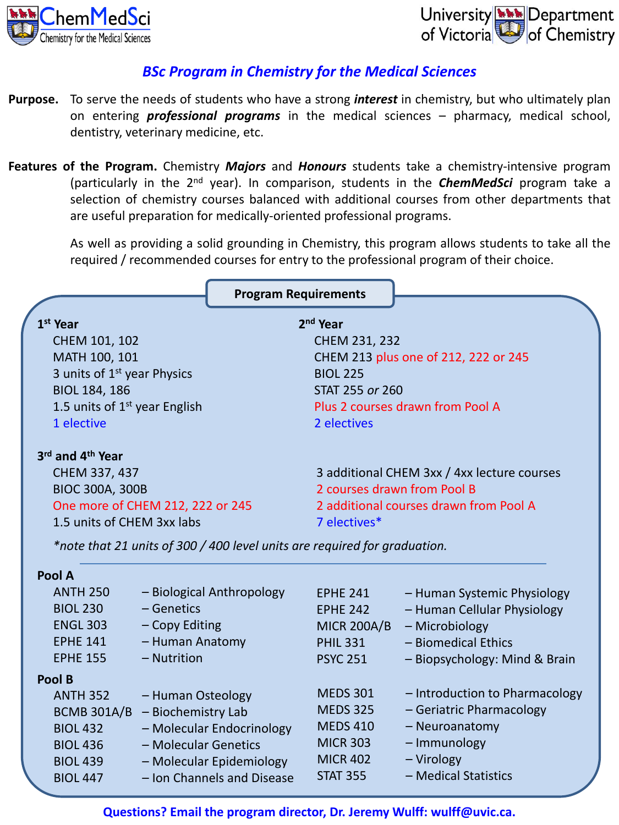



# *BSc Program in Chemistry for the Medical Sciences*

- **Purpose.** To serve the needs of students who have a strong *interest* in chemistry, but who ultimately plan on entering *professional programs* in the medical sciences – pharmacy, medical school, dentistry, veterinary medicine, etc.
- **Features of the Program.** Chemistry *Majors* and *Honours* students take a chemistry-intensive program (particularly in the 2<sup>nd</sup> year). In comparison, students in the *ChemMedSci* program take a selection of chemistry courses balanced with additional courses from other departments that are useful preparation for medically-oriented professional programs.

As well as providing a solid grounding in Chemistry, this program allows students to take all the required / recommended courses for entry to the professional program of their choice.

|                                              |                                  | <b>Program Requirements</b>                                               |                                             |                                |
|----------------------------------------------|----------------------------------|---------------------------------------------------------------------------|---------------------------------------------|--------------------------------|
| 2 <sup>nd</sup> Year<br>1 <sup>st</sup> Year |                                  |                                                                           |                                             |                                |
|                                              | CHEM 101, 102                    |                                                                           | CHEM 231, 232                               |                                |
| MATH 100, 101                                |                                  |                                                                           | CHEM 213 plus one of 212, 222 or 245        |                                |
| 3 units of 1 <sup>st</sup> year Physics      |                                  |                                                                           | <b>BIOL 225</b>                             |                                |
| BIOL 184, 186                                |                                  |                                                                           | STAT 255 or 260                             |                                |
| 1.5 units of $1st$ year English              |                                  | Plus 2 courses drawn from Pool A                                          |                                             |                                |
| 1 elective                                   |                                  |                                                                           | 2 electives                                 |                                |
| 3rd and 4th Year                             |                                  |                                                                           |                                             |                                |
|                                              | CHEM 337, 437                    |                                                                           | 3 additional CHEM 3xx / 4xx lecture courses |                                |
|                                              | <b>BIOC 300A, 300B</b>           |                                                                           | 2 courses drawn from Pool B                 |                                |
|                                              | One more of CHEM 212, 222 or 245 |                                                                           | 2 additional courses drawn from Pool A      |                                |
| 1.5 units of CHEM 3xx labs                   |                                  |                                                                           | 7 electives*                                |                                |
|                                              |                                  | *note that 21 units of 300 / 400 level units are required for graduation. |                                             |                                |
| Pool A                                       |                                  |                                                                           |                                             |                                |
| <b>ANTH 250</b>                              |                                  | - Biological Anthropology                                                 | <b>EPHE 241</b>                             | - Human Systemic Physiology    |
| <b>BIOL 230</b>                              | - Genetics                       |                                                                           | <b>EPHE 242</b>                             | - Human Cellular Physiology    |
| <b>ENGL 303</b>                              | - Copy Editing                   |                                                                           | MICR $200A/B$                               | - Microbiology                 |
| <b>EPHE 141</b>                              | - Human Anatomy                  |                                                                           | <b>PHIL 331</b>                             | - Biomedical Ethics            |
| <b>EPHE 155</b>                              | - Nutrition                      |                                                                           | <b>PSYC 251</b>                             | - Biopsychology: Mind & Brain  |
| Pool B                                       |                                  |                                                                           |                                             |                                |
| <b>ANTH 352</b>                              | - Human Osteology                |                                                                           | <b>MEDS 301</b>                             | - Introduction to Pharmacology |
| BCMB $301A/B$ - Biochemistry Lab             |                                  |                                                                           | <b>MEDS 325</b>                             | - Geriatric Pharmacology       |
| <b>BIOL 432</b>                              |                                  | - Molecular Endocrinology                                                 | <b>MEDS 410</b>                             | - Neuroanatomy                 |
| <b>BIOL 436</b>                              | - Molecular Genetics             |                                                                           | <b>MICR 303</b>                             | - Immunology                   |
| <b>BIOL 439</b>                              |                                  | - Molecular Epidemiology                                                  | <b>MICR 402</b>                             | - Virology                     |
| <b>BIOL 447</b>                              |                                  | - Ion Channels and Disease                                                | <b>STAT 355</b>                             | - Medical Statistics           |

**Questions? Email the program director, Dr. Jeremy Wulff: wulff@uvic.ca.**